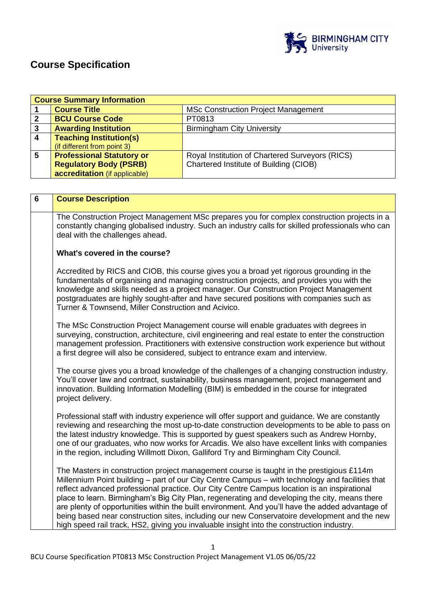

# **Course Specification**

|                         | <b>Course Summary Information</b>                                                                                                    |                                                                                                  |  |  |
|-------------------------|--------------------------------------------------------------------------------------------------------------------------------------|--------------------------------------------------------------------------------------------------|--|--|
| 1                       | <b>Course Title</b>                                                                                                                  | <b>MSc Construction Project Management</b>                                                       |  |  |
| $\mathbf{2}$            | <b>BCU Course Code</b>                                                                                                               | PT0813                                                                                           |  |  |
| $\overline{\mathbf{3}}$ | <b>Awarding Institution</b>                                                                                                          | <b>Birmingham City University</b>                                                                |  |  |
| $\overline{\mathbf{4}}$ | <b>Teaching Institution(s)</b>                                                                                                       |                                                                                                  |  |  |
|                         | (if different from point 3)                                                                                                          |                                                                                                  |  |  |
| 5                       | <b>Professional Statutory or</b>                                                                                                     | Royal Institution of Chartered Surveyors (RICS)                                                  |  |  |
|                         | <b>Regulatory Body (PSRB)</b>                                                                                                        | Chartered Institute of Building (CIOB)                                                           |  |  |
|                         | accreditation (if applicable)                                                                                                        |                                                                                                  |  |  |
|                         |                                                                                                                                      |                                                                                                  |  |  |
|                         |                                                                                                                                      |                                                                                                  |  |  |
| 6                       | <b>Course Description</b>                                                                                                            |                                                                                                  |  |  |
|                         |                                                                                                                                      | The Construction Project Management MSc prepares you for complex construction projects in a      |  |  |
|                         |                                                                                                                                      |                                                                                                  |  |  |
|                         | constantly changing globalised industry. Such an industry calls for skilled professionals who can<br>deal with the challenges ahead. |                                                                                                  |  |  |
|                         |                                                                                                                                      |                                                                                                  |  |  |
|                         | What's covered in the course?                                                                                                        |                                                                                                  |  |  |
|                         |                                                                                                                                      |                                                                                                  |  |  |
|                         | Accredited by RICS and CIOB, this course gives you a broad yet rigorous grounding in the                                             |                                                                                                  |  |  |
|                         | fundamentals of organising and managing construction projects, and provides you with the                                             |                                                                                                  |  |  |
|                         | knowledge and skills needed as a project manager. Our Construction Project Management                                                |                                                                                                  |  |  |
|                         | postgraduates are highly sought-after and have secured positions with companies such as                                              |                                                                                                  |  |  |
|                         | Turner & Townsend, Miller Construction and Acivico.                                                                                  |                                                                                                  |  |  |
|                         |                                                                                                                                      |                                                                                                  |  |  |
|                         | The MSc Construction Project Management course will enable graduates with degrees in                                                 |                                                                                                  |  |  |
|                         | surveying, construction, architecture, civil engineering and real estate to enter the construction                                   |                                                                                                  |  |  |
|                         | management profession. Practitioners with extensive construction work experience but without                                         |                                                                                                  |  |  |
|                         | a first degree will also be considered, subject to entrance exam and interview.                                                      |                                                                                                  |  |  |
|                         |                                                                                                                                      |                                                                                                  |  |  |
|                         |                                                                                                                                      | The course gives you a broad knowledge of the challenges of a changing construction industry.    |  |  |
|                         |                                                                                                                                      | You'll cover law and contract, sustainability, business management, project management and       |  |  |
|                         |                                                                                                                                      | innovation. Building Information Modelling (BIM) is embedded in the course for integrated        |  |  |
|                         | project delivery.                                                                                                                    |                                                                                                  |  |  |
|                         |                                                                                                                                      |                                                                                                  |  |  |
|                         |                                                                                                                                      | Professional staff with industry experience will offer support and guidance. We are constantly   |  |  |
|                         |                                                                                                                                      | reviewing and researching the most up-to-date construction developments to be able to pass on    |  |  |
|                         |                                                                                                                                      | the latest industry knowledge. This is supported by guest speakers such as Andrew Hornby,        |  |  |
|                         | one of our graduates, who now works for Arcadis. We also have excellent links with companies                                         |                                                                                                  |  |  |
|                         | in the region, including Willmott Dixon, Galliford Try and Birmingham City Council.                                                  |                                                                                                  |  |  |
|                         |                                                                                                                                      |                                                                                                  |  |  |
|                         |                                                                                                                                      | The Masters in construction project management course is taught in the prestigious £114m         |  |  |
|                         |                                                                                                                                      | Millennium Point building – part of our City Centre Campus – with technology and facilities that |  |  |
|                         | reflect advanced professional practice. Our City Centre Campus location is an inspirational                                          |                                                                                                  |  |  |
|                         | place to learn. Birmingham's Big City Plan, regenerating and developing the city, means there                                        |                                                                                                  |  |  |
|                         |                                                                                                                                      | are plenty of opportunities within the built environment. And you'll have the added advantage of |  |  |
|                         |                                                                                                                                      | being based near construction sites, including our new Conservatoire development and the new     |  |  |
|                         |                                                                                                                                      | high speed rail track, HS2, giving you invaluable insight into the construction industry.        |  |  |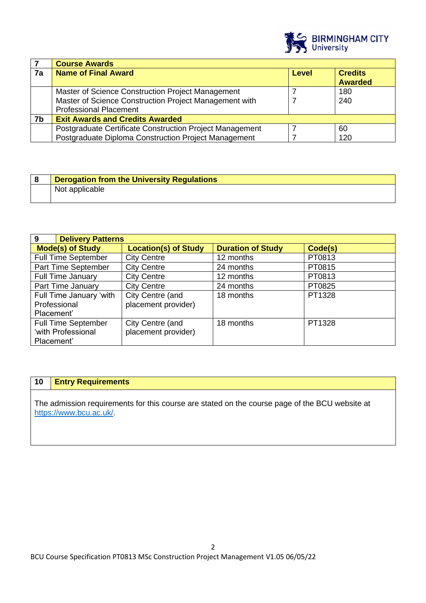

|    | <b>Course Awards</b>                                     |              |                                  |
|----|----------------------------------------------------------|--------------|----------------------------------|
| 7a | <b>Name of Final Award</b>                               | <b>Level</b> | <b>Credits</b><br><b>Awarded</b> |
|    | Master of Science Construction Project Management        |              | 180                              |
|    | Master of Science Construction Project Management with   |              | 240                              |
|    | <b>Professional Placement</b>                            |              |                                  |
| 7b | <b>Exit Awards and Credits Awarded</b>                   |              |                                  |
|    | Postgraduate Certificate Construction Project Management |              | 60                               |
|    | Postgraduate Diploma Construction Project Management     |              | 120                              |

| <b>Derogation from the University Regulations</b> |
|---------------------------------------------------|
| Not applicable                                    |

| 9<br><b>Delivery Patterns</b> |                             |                          |         |  |
|-------------------------------|-----------------------------|--------------------------|---------|--|
| <b>Mode(s) of Study</b>       | <b>Location(s) of Study</b> | <b>Duration of Study</b> | Code(s) |  |
| <b>Full Time September</b>    | <b>City Centre</b>          | 12 months                | PT0813  |  |
| Part Time September           | <b>City Centre</b>          | 24 months                | PT0815  |  |
| <b>Full Time January</b>      | <b>City Centre</b>          | 12 months                | PT0813  |  |
| Part Time January             | <b>City Centre</b>          | 24 months                | PT0825  |  |
| Full Time January 'with       | City Centre (and            | 18 months                | PT1328  |  |
| Professional<br>Placement'    | placement provider)         |                          |         |  |
| <b>Full Time September</b>    | City Centre (and            | 18 months                | PT1328  |  |
| 'with Professional            | placement provider)         |                          |         |  |
| Placement'                    |                             |                          |         |  |

# **10 Entry Requirements**

The admission requirements for this course are stated on the course page of the BCU website at <https://www.bcu.ac.uk/>.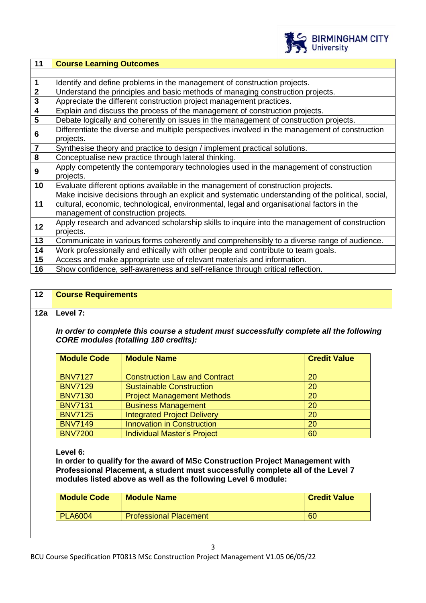

| 11                      | <b>Course Learning Outcomes</b>                                                                    |
|-------------------------|----------------------------------------------------------------------------------------------------|
|                         |                                                                                                    |
| $\mathbf 1$             | Identify and define problems in the management of construction projects.                           |
| $\overline{2}$          | Understand the principles and basic methods of managing construction projects.                     |
| $\overline{3}$          | Appreciate the different construction project management practices.                                |
| $\overline{\mathbf{4}}$ | Explain and discuss the process of the management of construction projects.                        |
| $\overline{\mathbf{5}}$ | Debate logically and coherently on issues in the management of construction projects.              |
| 6                       | Differentiate the diverse and multiple perspectives involved in the management of construction     |
|                         | projects.                                                                                          |
| $\overline{7}$          | Synthesise theory and practice to design / implement practical solutions.                          |
| 8                       | Conceptualise new practice through lateral thinking.                                               |
| 9                       | Apply competently the contemporary technologies used in the management of construction             |
|                         | projects.                                                                                          |
| 10                      | Evaluate different options available in the management of construction projects.                   |
|                         | Make incisive decisions through an explicit and systematic understanding of the political, social, |
| 11                      | cultural, economic, technological, environmental, legal and organisational factors in the          |
|                         | management of construction projects.                                                               |
| 12                      | Apply research and advanced scholarship skills to inquire into the management of construction      |
|                         | projects.                                                                                          |
| 13                      | Communicate in various forms coherently and comprehensibly to a diverse range of audience.         |
| 14                      | Work professionally and ethically with other people and contribute to team goals.                  |
| 15                      | Access and make appropriate use of relevant materials and information.                             |
| 16                      | Show confidence, self-awareness and self-reliance through critical reflection.                     |

| <b>Module Code</b><br><b>Module Name</b><br><b>Credit Value</b>               |  |  |  |  |
|-------------------------------------------------------------------------------|--|--|--|--|
| 20                                                                            |  |  |  |  |
| 20                                                                            |  |  |  |  |
| 20                                                                            |  |  |  |  |
| 20                                                                            |  |  |  |  |
| 20                                                                            |  |  |  |  |
| 20                                                                            |  |  |  |  |
| 60                                                                            |  |  |  |  |
| In order to qualify for the award of MSc Construction Project Management with |  |  |  |  |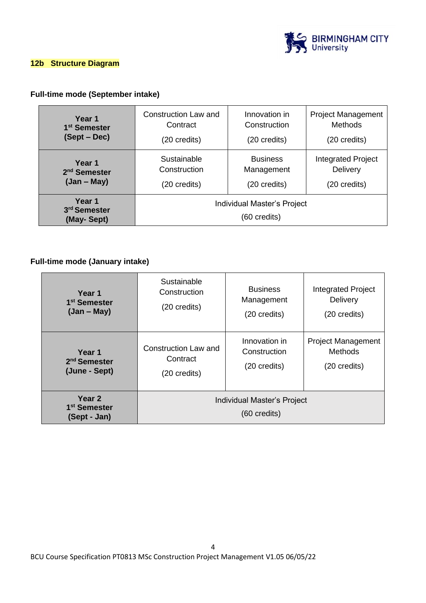

#### **12b Structure Diagram**

# **Full-time mode (September intake)**

| Year 1                                           | Construction Law and                        | Innovation in   | <b>Project Management</b> |
|--------------------------------------------------|---------------------------------------------|-----------------|---------------------------|
| 1 <sup>st</sup> Semester                         | Contract                                    | Construction    | <b>Methods</b>            |
| (Sept – Dec)                                     | (20 credits)                                | (20 credits)    | (20 credits)              |
| Year 1                                           | Sustainable                                 | <b>Business</b> | <b>Integrated Project</b> |
| 2 <sup>nd</sup> Semester                         | Construction                                | Management      | Delivery                  |
| $(Jan - May)$                                    | (20 credits)                                | (20 credits)    | (20 credits)              |
| Year 1<br>3 <sup>rd</sup> Semester<br>(May-Sept) | Individual Master's Project<br>(60 credits) |                 |                           |

#### **Full-time mode (January intake)**

| Year 1                                             | Sustainable                                           | <b>Business</b> | Integrated Project        |
|----------------------------------------------------|-------------------------------------------------------|-----------------|---------------------------|
| 1 <sup>st</sup> Semester                           | Construction                                          | Management      | Delivery                  |
| $(Jan - May)$                                      | (20 credits)                                          | (20 credits)    | (20 credits)              |
| Year 1                                             | Construction Law and                                  | Innovation in   | <b>Project Management</b> |
| 2 <sup>nd</sup> Semester                           | Contract                                              | Construction    | <b>Methods</b>            |
| (June - Sept)                                      | (20 credits)                                          | (20 credits)    | (20 credits)              |
| Year 2<br>1 <sup>st</sup> Semester<br>(Sept - Jan) | Individual Master's Project<br>$(60 \text{ credits})$ |                 |                           |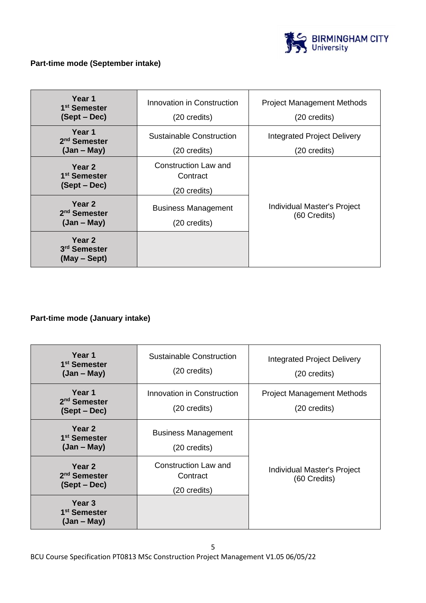

# **Part-time mode (September intake)**

| Year 1<br>1 <sup>st</sup> Semester<br>(Sept – Dec)             | Innovation in Construction<br>(20 credits)       | <b>Project Management Methods</b><br>(20 credits)  |
|----------------------------------------------------------------|--------------------------------------------------|----------------------------------------------------|
| Year 1<br>2 <sup>nd</sup> Semester<br>$(Jan - May)$            | Sustainable Construction<br>(20 credits)         | <b>Integrated Project Delivery</b><br>(20 credits) |
| Year 2<br>1 <sup>st</sup> Semester<br>(Sept – Dec)             | Construction Law and<br>Contract<br>(20 credits) |                                                    |
| Year <sub>2</sub><br>2 <sup>nd</sup> Semester<br>$(Jan - May)$ | <b>Business Management</b><br>(20 credits)       | Individual Master's Project<br>(60 Credits)        |
| Year 2<br>3 <sup>rd</sup> Semester<br>(May – Sept)             |                                                  |                                                    |

### **Part-time mode (January intake)**

| Year 1<br>1 <sup>st</sup> Semester<br>$(Jan - May)$            | Sustainable Construction<br>(20 credits)                | Integrated Project Delivery<br>(20 credits)       |
|----------------------------------------------------------------|---------------------------------------------------------|---------------------------------------------------|
| Year 1<br>2 <sup>nd</sup> Semester<br>(Sept – Dec)             | Innovation in Construction<br>(20 credits)              | <b>Project Management Methods</b><br>(20 credits) |
| Year <sub>2</sub><br>1 <sup>st</sup> Semester<br>$(Jan - May)$ | <b>Business Management</b><br>(20 credits)              |                                                   |
| Year <sub>2</sub><br>2 <sup>nd</sup> Semester<br>(Sept – Dec)  | <b>Construction Law and</b><br>Contract<br>(20 credits) | Individual Master's Project<br>(60 Credits)       |
| Year 3<br>1 <sup>st</sup> Semester<br>$(Jan - May)$            |                                                         |                                                   |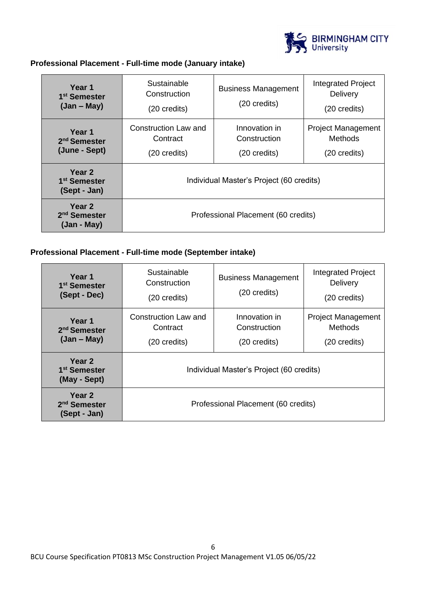

### **Professional Placement - Full-time mode (January intake)**

| Year 1<br>1 <sup>st</sup> Semester<br>$(Jan - May)$ | Sustainable<br>Construction<br>(20 credits)                | <b>Business Management</b><br>(20 credits)    | Integrated Project<br><b>Delivery</b><br>$(20 \text{ credits})$ |
|-----------------------------------------------------|------------------------------------------------------------|-----------------------------------------------|-----------------------------------------------------------------|
| Year 1<br>2 <sup>nd</sup> Semester<br>(June - Sept) | Construction Law and<br>Contract<br>$(20 \text{ credits})$ | Innovation in<br>Construction<br>(20 credits) | <b>Project Management</b><br>Methods<br>$(20 \text{ credits})$  |
| Year 2<br>1 <sup>st</sup> Semester<br>(Sept - Jan)  | Individual Master's Project (60 credits)                   |                                               |                                                                 |
| Year 2<br>2 <sup>nd</sup> Semester<br>(Jan - May)   | Professional Placement (60 credits)                        |                                               |                                                                 |

### **Professional Placement - Full-time mode (September intake)**

| Year 1<br>1 <sup>st</sup> Semester<br>(Sept - Dec)  | Sustainable<br>Construction<br>(20 credits)      | <b>Business Management</b><br>(20 credits)              | <b>Integrated Project</b><br>Delivery<br>$(20 \text{ credits})$ |
|-----------------------------------------------------|--------------------------------------------------|---------------------------------------------------------|-----------------------------------------------------------------|
| Year 1<br>2 <sup>nd</sup> Semester<br>$(Jan - May)$ | Construction Law and<br>Contract<br>(20 credits) | Innovation in<br>Construction<br>$(20 \text{ credits})$ | <b>Project Management</b><br>Methods<br>$(20 \text{ credits})$  |
| Year 2<br>1 <sup>st</sup> Semester<br>(May - Sept)  | Individual Master's Project (60 credits)         |                                                         |                                                                 |
| Year 2<br>2 <sup>nd</sup> Semester<br>(Sept - Jan)  | Professional Placement (60 credits)              |                                                         |                                                                 |